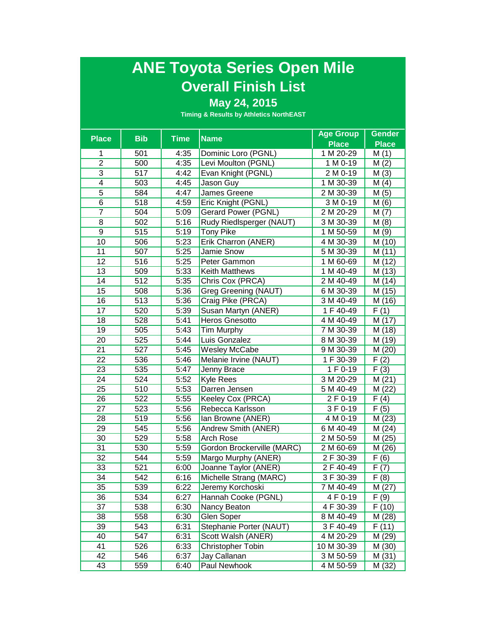## **ANE Toyota Series Open Mile Overall Finish List**

## **May 24, 2015**

|                 |            |             |                            | <b>Age Group</b> | <b>Gender</b>     |
|-----------------|------------|-------------|----------------------------|------------------|-------------------|
| <b>Place</b>    | <b>Bib</b> | <b>Time</b> | <b>Name</b>                | <b>Place</b>     | <b>Place</b>      |
| 1               | 501        | 4:35        | Dominic Loro (PGNL)        | 1 M 20-29        | M(1)              |
| $\overline{2}$  | 500        | 4:35        | Levi Moulton (PGNL)        | 1 M 0-19         | M(2)              |
| 3               | 517        | 4:42        | Evan Knight (PGNL)         | 2 M 0-19         | M(3)              |
| $\overline{4}$  | 503        | 4:45        | Jason Guy                  | 1 M 30-39        | M(4)              |
| $\overline{5}$  | 584        | 4:47        | James Greene               | 2 M 30-39        | M(5)              |
| $\overline{6}$  | 518        | 4:59        | Eric Knight (PGNL)         | 3 M 0-19         | M(6)              |
| $\overline{7}$  | 504        | 5:09        | Gerard Power (PGNL)        | 2 M 20-29        | M(7)              |
| 8               | 502        | 5:16        | Rudy Riedlsperger (NAUT)   | 3 M 30-39        | M(8)              |
| 9               | 515        | 5:19        | <b>Tony Pike</b>           | 1 M 50-59        | M(9)              |
| 10              | 506        | 5:23        | Erik Charron (ANER)        | 4 M 30-39        | M (10)            |
| 11              | 507        | 5:25        | Jamie Snow                 | 5 M 30-39        | M (11)            |
| 12              | 516        | 5:25        | Peter Gammon               | 1 M 60-69        | M(12)             |
| 13              | 509        | 5:33        | <b>Keith Matthews</b>      | 1 M 40-49        | M (13)            |
| 14              | 512        | 5:35        | Chris Cox (PRCA)           | 2 M 40-49        | M (14)            |
| 15              | 508        | 5:36        | Greg Greening (NAUT)       | 6 M 30-39        | M (15)            |
| 16              | 513        | 5:36        | Craig Pike (PRCA)          | 3 M 40-49        | M (16)            |
| 17              | 520        | 5:39        | Susan Martyn (ANER)        | 1 F 40-49        | F(1)              |
| 18              | 528        | 5:41        | <b>Heros Gnesotto</b>      | 4 M 40-49        | M (17)            |
| 19              | 505        | 5:43        | Tim Murphy                 | 7 M 30-39        | M (18)            |
| 20              | 525        | 5:44        | Luis Gonzalez              | 8 M 30-39        | M (19)            |
| 21              | 527        | 5:45        | Wesley McCabe              | 9 M 30-39        | M(20)             |
| 22              | 536        | 5:46        | Melanie Irvine (NAUT)      | 1 F 30-39        | F(2)              |
| 23              | 535        | 5:47        | Jenny Brace                | 1 F 0-19         | F(3)              |
| 24              | 524        | 5:52        | <b>Kyle Rees</b>           | 3 M 20-29        | M(21)             |
| 25              | 510        | 5:53        | Darren Jensen              | 5 M 40-49        | M (22)            |
| 26              | 522        | 5:55        | Keeley Cox (PRCA)          | 2 F 0-19         | F(4)              |
| 27              | 523        | 5:56        | Rebecca Karlsson           | 3 F 0-19         | F(5)              |
| 28              | 519        | 5:56        | Ian Browne (ANER)          | 4 M 0-19         | M (23)            |
| 29              | 545        | 5:56        | Andrew Smith (ANER)        | 6 M 40-49        | M(24)             |
| 30              | 529        | 5:58        | <b>Arch Rose</b>           | 2 M 50-59        | M (25)            |
| 31              | 530        | 5:59        | Gordon Brockerville (MARC) | 2 M 60-69        | M (26)            |
| 32              | 544        | 5:59        | Margo Murphy (ANER)        | 2 F 30-39        | F(6)              |
| $\overline{33}$ | 521        | 6:00        | Joanne Taylor (ANER)       | 2 F 40-49        | $\overline{F(7)}$ |
| $\overline{34}$ | 542        | 6:16        | Michelle Strang (MARC)     | 3 F 30-39        | F(8)              |
| 35              | 539        | 6:22        | Jeremy Korchoski           | $7 M 40-49$      | M (27)            |
| 36              | 534        | 6:27        | Hannah Cooke (PGNL)        | 4 F 0-19         | F (9)             |
| 37              | 538        | 6:30        | Nancy Beaton               | 4 F 30-39        | F (10)            |
| 38              | 558        | 6:30        | Glen Soper                 | 8 M 40-49        | M (28)            |
| 39              | 543        | 6:31        | Stephanie Porter (NAUT)    | 3 F 40-49        | F(11)             |
| 40              | 547        | 6:31        | Scott Walsh (ANER)         | 4 M 20-29        | M (29)            |
| 41              | 526        | 6:33        | Christopher Tobin          | 10 M 30-39       | M(30)             |
| 42              | 546        | 6:37        | Jay Callanan               | 3 M 50-59        | M(31)             |
| 43              | 559        | 6:40        | Paul Newhook               | 4 M 50-59        | M (32)            |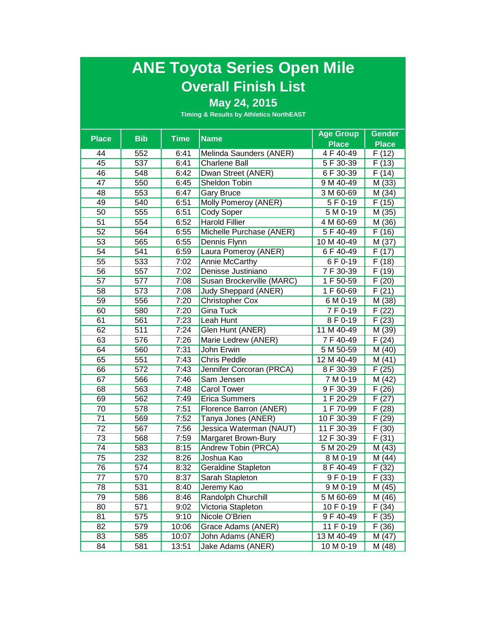## **ANE Toyota Series Open Mile Overall Finish List**

## **May 24, 2015**

| <b>Place</b> |            |             | <b>Name</b>                 | <b>Age Group</b> | <b>Gender</b>      |
|--------------|------------|-------------|-----------------------------|------------------|--------------------|
|              | <b>Bib</b> | <b>Time</b> |                             | <b>Place</b>     | <b>Place</b>       |
| 44           | 552        | 6:41        | Melinda Saunders (ANER)     | 4 F 40-49        | F(12)              |
| 45           | 537        | 6:41        | <b>Charlene Ball</b>        | 5 F 30-39        | F(13)              |
| 46           | 548        | 6:42        | Dwan Street (ANER)          | 6 F 30-39        | F(14)              |
| 47           | 550        | 6:45        | <b>Sheldon Tobin</b>        | 9 M 40-49        | M (33)             |
| 48           | 553        | 6:47        | <b>Gary Bruce</b>           | 3 M 60-69        | M(34)              |
| 49           | 540        | 6:51        | Molly Pomeroy (ANER)        | 5 F 0-19         | $\overline{F(15)}$ |
| 50           | 555        | 6:51        | Cody Soper                  | 5 M 0-19         | M (35)             |
| 51           | 554        | 6:52        | <b>Harold Fillier</b>       | 4 M 60-69        | M (36)             |
| 52           | 564        | 6:55        | Michelle Purchase (ANER)    | 5 F 40-49        | F(16)              |
| 53           | 565        | 6:55        | Dennis Flynn                | 10 M 40-49       | M (37)             |
| 54           | 541        | 6:59        | Laura Pomeroy (ANER)        | 6 F 40-49        | F(17)              |
| 55           | 533        | 7:02        | Annie McCarthy              | 6 F 0-19         | F(18)              |
| 56           | 557        | 7:02        | Denisse Justiniano          | 7 F 30-39        | F(19)              |
| 57           | 577        | 7:08        | Susan Brockerville (MARC)   | 1 F 50-59        | F(20)              |
| 58           | 573        | 7:08        | <b>Judy Sheppard (ANER)</b> | 1 F 60-69        | F(21)              |
| 59           | 556        | 7:20        | <b>Christopher Cox</b>      | 6 M 0-19         | M (38)             |
| 60           | 580        | 7:20        | <b>Gina Tuck</b>            | 7F 0-19          | F(22)              |
| 61           | 561        | 7:23        | Leah Hunt                   | 8 F 0-19         | F(23)              |
| 62           | 511        | 7:24        | Glen Hunt (ANER)            | 11 M 40-49       | M (39)             |
| 63           | 576        | 7:26        | Marie Ledrew (ANER)         | 7 F 40-49        | F(24)              |
| 64           | 560        | 7:31        | John Erwin                  | 5 M 50-59        | M (40)             |
| 65           | 551        | 7:43        | <b>Chris Peddle</b>         | 12 M 40-49       | M(41)              |
| 66           | 572        | 7:43        | Jennifer Corcoran (PRCA)    | 8 F 30-39        | F(25)              |
| 67           | 566        | 7:46        | Sam Jensen                  | 7 M 0-19         | M (42)             |
| 68           | 563        | 7:48        | <b>Carol Tower</b>          | 9 F 30-39        | F(26)              |
| 69           | 562        | 7:49        | Erica Summers               | 1 F 20-29        | F(27)              |
| 70           | 578        | 7:51        | Florence Barron (ANER)      | 1 F 70-99        | F(28)              |
| 71           | 569        | 7:52        | Tanya Jones (ANER)          | 10 F 30-39       | F(29)              |
| 72           | 567        | 7:56        | Jessica Waterman (NAUT)     | 11 F 30-39       | F(30)              |
| 73           | 568        | 7:59        | Margaret Brown-Bury         | 12 F 30-39       | F(31)              |
| 74           | 583        | 8:15        | Andrew Tobin (PRCA)         | 5 M 20-29        | M (43)             |
| 75           | 232        | 8:26        | Joshua Kao                  | 8 M 0-19         | M (44)             |
| 76           | 574        | 8:32        | Geraldine Stapleton         | 8 F 40-49        | F(32)              |
| 77           | 570        | 8:37        | Sarah Stapleton             | 9 F 0-19         | $\overline{F(33)}$ |
| 78           | 531        | 8:40        | Jeremy Kao                  | 9 M 0-19         | M (45)             |
| 79           | 586        | 8:46        | Randolph Churchill          | 5 M 60-69        | M (46)             |
| 80           | 571        | 9:02        | Victoria Stapleton          | 10 F 0-19        | F (34)             |
| 81           | 575        | 9:10        | Nicole O'Brien              | 9 F 40-49        | F(35)              |
| 82           | 579        | 10:06       | Grace Adams (ANER)          | 11 F 0-19        | F(36)              |
| 83           | 585        | 10:07       | John Adams (ANER)           | 13 M 40-49       | M (47)             |
| 84           | 581        | 13:51       | Jake Adams (ANER)           | 10 M 0-19        | M (48)             |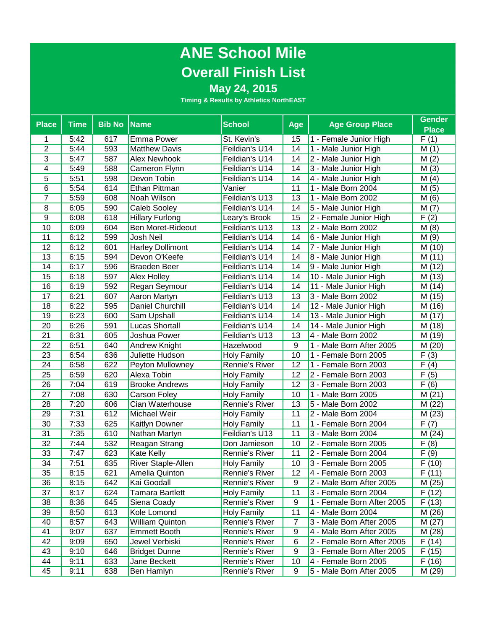# **ANE School Mile Overall Finish List**

## **May 24, 2015**

| <b>Place</b>   | <b>Time</b> | <b>Bib No Name</b> |                         | <b>School</b>      | Age | <b>Age Group Place</b>     | <b>Gender</b>      |
|----------------|-------------|--------------------|-------------------------|--------------------|-----|----------------------------|--------------------|
|                |             |                    |                         |                    |     |                            | <b>Place</b>       |
| 1              | 5:42        | 617                | <b>Emma Power</b>       | St. Kevin's        | 15  | 1 - Female Junior High     | F(1)               |
| $\overline{2}$ | 5:44        | 593                | <b>Matthew Davis</b>    | Feildian's U14     | 14  | 1 - Male Junior High       | M(1)               |
| 3              | 5:47        | 587                | <b>Alex Newhook</b>     | Feildian's U14     | 14  | 2 - Male Junior High       | M(2)               |
| 4              | 5:49        | 588                | Cameron Flynn           | Feildian's U14     | 14  | 3 - Male Junior High       | M(3)               |
| 5              | 5:51        | 598                | Devon Tobin             | Feildian's U14     | 14  | 4 - Male Junior High       | M(4)               |
| $\overline{6}$ | 5:54        | 614                | Ethan Pittman           | Vanier             | 11  | 1 - Male Born 2004         | M(5)               |
| 7              | 5:59        | 608                | Noah Wilson             | Feildian's U13     | 13  | 1 - Male Born 2002         | M(6)               |
| 8              | 6:05        | 590                | Caleb Sooley            | Feildian's U14     | 14  | 5 - Male Junior High       | M(7)               |
| 9              | 6:08        | 618                | <b>Hillary Furlong</b>  | Leary's Brook      | 15  | 2 - Female Junior High     | F(2)               |
| 10             | 6:09        | 604                | Ben Moret-Rideout       | Feildian's U13     | 13  | 2 - Male Born 2002         | M(8)               |
| 11             | 6:12        | 599                | Josh Neil               | Feildian's U14     | 14  | 6 - Male Junior High       | M (9)              |
| 12             | 6:12        | 601                | <b>Harley Dollimont</b> | Feildian's U14     | 14  | 7 - Male Junior High       | M (10)             |
| 13             | 6:15        | 594                | Devon O'Keefe           | Feildian's U14     | 14  | 8 - Male Junior High       | M(11)              |
| 14             | 6:17        | 596                | Braeden Beer            | Feildian's U14     | 14  | 9 - Male Junior High       | M (12)             |
| 15             | 6:18        | 597                | Alex Holley             | Feildian's U14     | 14  | 10 - Male Junior High      | M (13)             |
| 16             | 6:19        | 592                | Regan Seymour           | Feildian's U14     | 14  | 11 - Male Junior High      | M (14)             |
| 17             | 6:21        | 607                | Aaron Martyn            | Feildian's U13     | 13  | 3 - Male Born 2002         | M (15)             |
| 18             | 6:22        | 595                | Daniel Churchill        | Feildian's U14     | 14  | 12 - Male Junior High      | M (16)             |
| 19             | 6:23        | 600                | Sam Upshall             | Feildian's U14     | 14  | 13 - Male Junior High      | M (17)             |
| 20             | 6:26        | 591                | <b>Lucas Shortall</b>   | Feildian's U14     | 14  | 14 - Male Junior High      | M (18)             |
| 21             | 6:31        | 605                | Joshua Power            | Feildian's U13     | 13  | 4 - Male Born 2002         | M (19)             |
| 22             | 6:51        | 640                | Andrew Knight           | Hazelwood          | 9   | 1 - Male Born After 2005   | M(20)              |
| 23             | 6:54        | 636                | Juliette Hudson         | <b>Holy Family</b> | 10  | 1 - Female Born 2005       | F(3)               |
| 24             | 6:58        | 622                | Peyton Mullowney        | Rennie's River     | 12  | 1 - Female Born 2003       | F(4)               |
| 25             | 6:59        | 620                | Alexa Tobin             | <b>Holy Family</b> | 12  | 2 - Female Born 2003       | F(5)               |
| 26             | 7:04        | 619                | <b>Brooke Andrews</b>   | <b>Holy Family</b> | 12  | 3 - Female Born 2003       | F(6)               |
| 27             | 7:08        | 630                | Carson Foley            | <b>Holy Family</b> | 10  | 1 - Male Born 2005         | M(21)              |
| 28             | 7:20        | 606                | Cian Waterhouse         | Rennie's River     | 13  | 5 - Male Born 2002         | M(22)              |
| 29             | 7:31        | 612                | Michael Weir            | Holy Family        | 11  | 2 - Male Born 2004         | M (23)             |
| 30             | 7:33        | 625                | Kaitlyn Downer          | Holy Family        | 11  | 1 - Female Born 2004       | F(7)               |
| 31             | 7:35        | 610                | Nathan Martyn           | Feildian's U13     | 11  | 3 - Male Born 2004         | M (24)             |
| 32             | 7:44        | 532                | Reagan Strang           | Don Jamieson       | 10  | 2 - Female Born 2005       | F(8)               |
| 33             | 7:47        | 623                | Kate Kelly              | Rennie's River     | 11  | 2 - Female Born 2004       | F(9)               |
| 34             | 7:51        | 635                | River Staple-Allen      | <b>Holy Family</b> | 10  | 3 - Female Born 2005       | F(10)              |
| 35             | 8:15        | 621                | Amelia Quinton          | Rennie's River     | 12  | 4 - Female Born 2003       | $\overline{F(11)}$ |
| 36             | 8:15        | 642                | Kai Goodall             | Rennie's River     | 9   | 2 - Male Born After 2005   | M (25)             |
| 37             | 8:17        | 624                | <b>Tamara Bartlett</b>  | <b>Holy Family</b> | 11  | 3 - Female Born 2004       | F(12)              |
| 38             | 8:36        | 645                | Siena Coady             | Rennie's River     | 9   | 1 - Female Born After 2005 | F(13)              |
| 39             | 8:50        | 613                | Kole Lomond             | Holy Family        | 11  | 4 - Male Born 2004         | M (26)             |
| 40             | 8:57        | 643                | William Quinton         | Rennie's River     | 7   | 3 - Male Born After 2005   | M(27)              |
| 41             | 9:07        | 637                | Emmett Booth            | Rennie's River     | 9   | 4 - Male Born After 2005   | M (28)             |
| 42             | 9:09        | 650                | Jewel Verbiski          | Rennie's River     | 6   | 2 - Female Born After 2005 | F (14)             |
| 43             | 9:10        | 646                | <b>Bridget Dunne</b>    | Rennie's River     | 9   | 3 - Female Born After 2005 | F (15)             |
| 44             | 9:11        | 633                | Jane Beckett            | Rennie's River     | 10  | 4 - Female Born 2005       | F(16)              |
| 45             | 9:11        | 638                | Ben Hamlyn              | Rennie's River     | 9   | 5 - Male Born After 2005   | M (29)             |